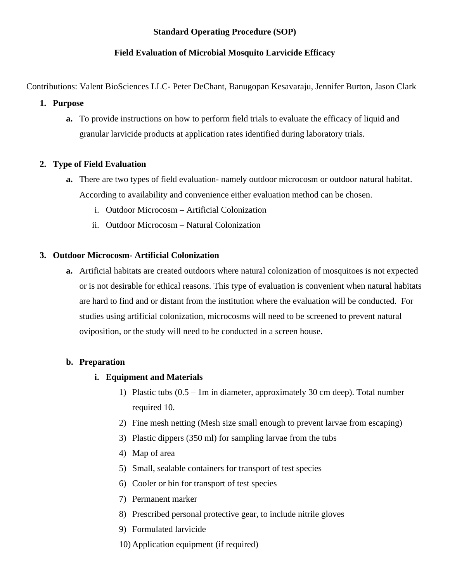# **Standard Operating Procedure (SOP)**

# **Field Evaluation of Microbial Mosquito Larvicide Efficacy**

Contributions: Valent BioSciences LLC- Peter DeChant, Banugopan Kesavaraju, Jennifer Burton, Jason Clark

#### **1. Purpose**

**a.** To provide instructions on how to perform field trials to evaluate the efficacy of liquid and granular larvicide products at application rates identified during laboratory trials.

# **2. Type of Field Evaluation**

- **a.** There are two types of field evaluation- namely outdoor microcosm or outdoor natural habitat. According to availability and convenience either evaluation method can be chosen.
	- i. Outdoor Microcosm Artificial Colonization
	- ii. Outdoor Microcosm Natural Colonization

# **3. Outdoor Microcosm- Artificial Colonization**

**a.** Artificial habitats are created outdoors where natural colonization of mosquitoes is not expected or is not desirable for ethical reasons. This type of evaluation is convenient when natural habitats are hard to find and or distant from the institution where the evaluation will be conducted. For studies using artificial colonization, microcosms will need to be screened to prevent natural oviposition, or the study will need to be conducted in a screen house.

# **b. Preparation**

# **i. Equipment and Materials**

- 1) Plastic tubs (0.5 1m in diameter, approximately 30 cm deep). Total number required 10.
- 2) Fine mesh netting (Mesh size small enough to prevent larvae from escaping)
- 3) Plastic dippers (350 ml) for sampling larvae from the tubs
- 4) Map of area
- 5) Small, sealable containers for transport of test species
- 6) Cooler or bin for transport of test species
- 7) Permanent marker
- 8) Prescribed personal protective gear, to include nitrile gloves
- 9) Formulated larvicide
- 10) Application equipment (if required)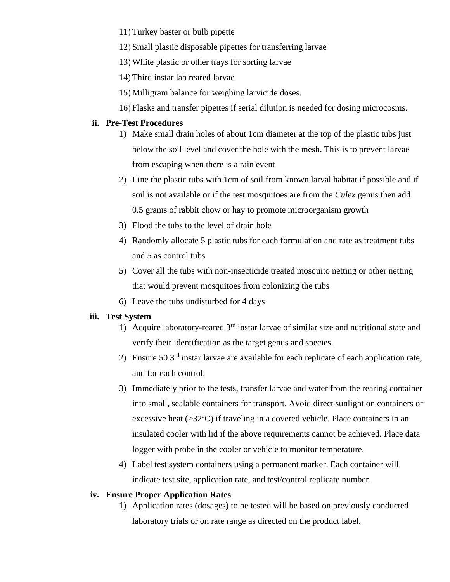11) Turkey baster or bulb pipette

- 12) Small plastic disposable pipettes for transferring larvae
- 13) White plastic or other trays for sorting larvae
- 14) Third instar lab reared larvae
- 15) Milligram balance for weighing larvicide doses.
- 16) Flasks and transfer pipettes if serial dilution is needed for dosing microcosms.

#### **ii. Pre-Test Procedures**

- 1) Make small drain holes of about 1cm diameter at the top of the plastic tubs just below the soil level and cover the hole with the mesh. This is to prevent larvae from escaping when there is a rain event
- 2) Line the plastic tubs with 1cm of soil from known larval habitat if possible and if soil is not available or if the test mosquitoes are from the *Culex* genus then add 0.5 grams of rabbit chow or hay to promote microorganism growth
- 3) Flood the tubs to the level of drain hole
- 4) Randomly allocate 5 plastic tubs for each formulation and rate as treatment tubs and 5 as control tubs
- 5) Cover all the tubs with non-insecticide treated mosquito netting or other netting that would prevent mosquitoes from colonizing the tubs
- 6) Leave the tubs undisturbed for 4 days

#### **iii. Test System**

- 1) Acquire laboratory-reared  $3<sup>rd</sup>$  instar larvae of similar size and nutritional state and verify their identification as the target genus and species.
- 2) Ensure 50  $3<sup>rd</sup>$  instar larvae are available for each replicate of each application rate, and for each control.
- 3) Immediately prior to the tests, transfer larvae and water from the rearing container into small, sealable containers for transport. Avoid direct sunlight on containers or excessive heat  $(>\frac{32}{\circ}C)$  if traveling in a covered vehicle. Place containers in an insulated cooler with lid if the above requirements cannot be achieved. Place data logger with probe in the cooler or vehicle to monitor temperature.
- 4) Label test system containers using a permanent marker. Each container will indicate test site, application rate, and test/control replicate number.

#### **iv. Ensure Proper Application Rates**

1) Application rates (dosages) to be tested will be based on previously conducted laboratory trials or on rate range as directed on the product label.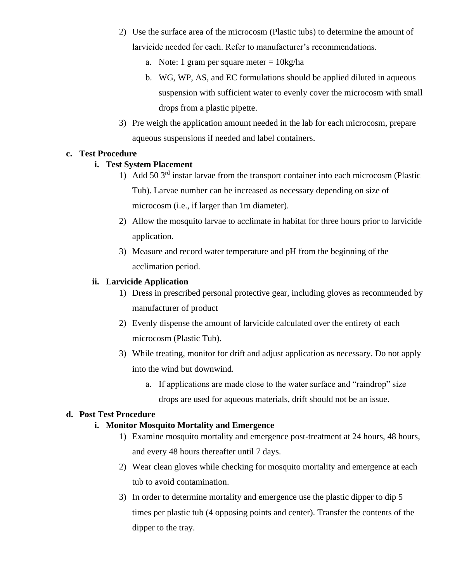- 2) Use the surface area of the microcosm (Plastic tubs) to determine the amount of larvicide needed for each. Refer to manufacturer's recommendations.
	- a. Note: 1 gram per square meter  $= 10$ kg/ha
	- b. WG, WP, AS, and EC formulations should be applied diluted in aqueous suspension with sufficient water to evenly cover the microcosm with small drops from a plastic pipette.
- 3) Pre weigh the application amount needed in the lab for each microcosm, prepare aqueous suspensions if needed and label containers.

#### **c. Test Procedure**

# **i. Test System Placement**

- 1) Add 50 3rd instar larvae from the transport container into each microcosm (Plastic Tub). Larvae number can be increased as necessary depending on size of microcosm (i.e., if larger than 1m diameter).
- 2) Allow the mosquito larvae to acclimate in habitat for three hours prior to larvicide application.
- 3) Measure and record water temperature and pH from the beginning of the acclimation period.

#### **ii. Larvicide Application**

- 1) Dress in prescribed personal protective gear, including gloves as recommended by manufacturer of product
- 2) Evenly dispense the amount of larvicide calculated over the entirety of each microcosm (Plastic Tub).
- 3) While treating, monitor for drift and adjust application as necessary. Do not apply into the wind but downwind.
	- a. If applications are made close to the water surface and "raindrop" size
		- drops are used for aqueous materials, drift should not be an issue.

# **d. Post Test Procedure**

# **i. Monitor Mosquito Mortality and Emergence**

- 1) Examine mosquito mortality and emergence post-treatment at 24 hours, 48 hours, and every 48 hours thereafter until 7 days.
- 2) Wear clean gloves while checking for mosquito mortality and emergence at each tub to avoid contamination.
- 3) In order to determine mortality and emergence use the plastic dipper to dip 5 times per plastic tub (4 opposing points and center). Transfer the contents of the dipper to the tray.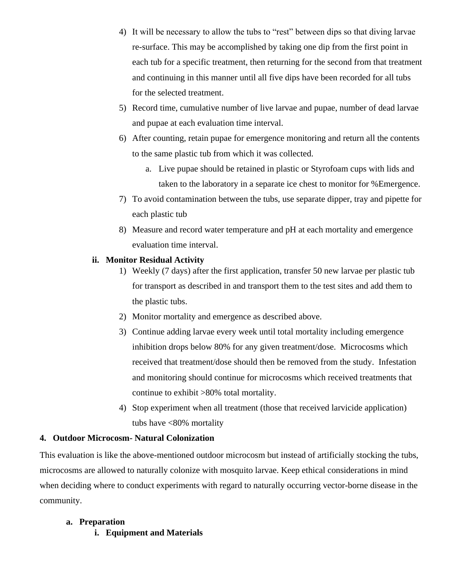- 4) It will be necessary to allow the tubs to "rest" between dips so that diving larvae re-surface. This may be accomplished by taking one dip from the first point in each tub for a specific treatment, then returning for the second from that treatment and continuing in this manner until all five dips have been recorded for all tubs for the selected treatment.
- 5) Record time, cumulative number of live larvae and pupae, number of dead larvae and pupae at each evaluation time interval.
- 6) After counting, retain pupae for emergence monitoring and return all the contents to the same plastic tub from which it was collected.
	- a. Live pupae should be retained in plastic or Styrofoam cups with lids and taken to the laboratory in a separate ice chest to monitor for %Emergence.
- 7) To avoid contamination between the tubs, use separate dipper, tray and pipette for each plastic tub
- 8) Measure and record water temperature and pH at each mortality and emergence evaluation time interval.

# **ii. Monitor Residual Activity**

- 1) Weekly (7 days) after the first application, transfer 50 new larvae per plastic tub for transport as described in and transport them to the test sites and add them to the plastic tubs.
- 2) Monitor mortality and emergence as described above.
- 3) Continue adding larvae every week until total mortality including emergence inhibition drops below 80% for any given treatment/dose. Microcosms which received that treatment/dose should then be removed from the study. Infestation and monitoring should continue for microcosms which received treatments that continue to exhibit >80% total mortality.
- 4) Stop experiment when all treatment (those that received larvicide application) tubs have <80% mortality

# **4. Outdoor Microcosm- Natural Colonization**

This evaluation is like the above-mentioned outdoor microcosm but instead of artificially stocking the tubs, microcosms are allowed to naturally colonize with mosquito larvae. Keep ethical considerations in mind when deciding where to conduct experiments with regard to naturally occurring vector-borne disease in the community.

# **a. Preparation**

**i. Equipment and Materials**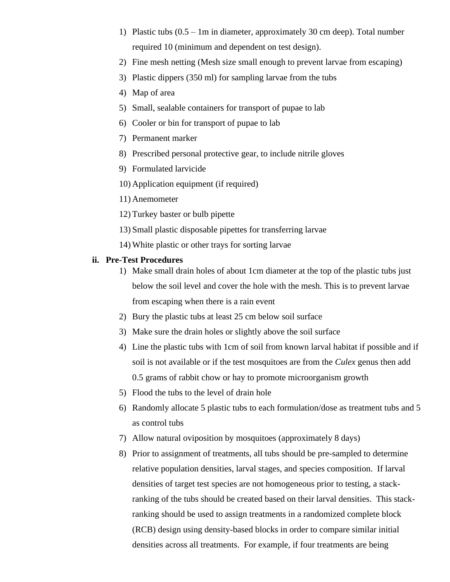- 1) Plastic tubs (0.5 1m in diameter, approximately 30 cm deep). Total number required 10 (minimum and dependent on test design).
- 2) Fine mesh netting (Mesh size small enough to prevent larvae from escaping)
- 3) Plastic dippers (350 ml) for sampling larvae from the tubs
- 4) Map of area
- 5) Small, sealable containers for transport of pupae to lab
- 6) Cooler or bin for transport of pupae to lab
- 7) Permanent marker
- 8) Prescribed personal protective gear, to include nitrile gloves
- 9) Formulated larvicide
- 10) Application equipment (if required)
- 11) Anemometer
- 12) Turkey baster or bulb pipette
- 13) Small plastic disposable pipettes for transferring larvae
- 14) White plastic or other trays for sorting larvae

#### **ii. Pre-Test Procedures**

- 1) Make small drain holes of about 1cm diameter at the top of the plastic tubs just below the soil level and cover the hole with the mesh. This is to prevent larvae from escaping when there is a rain event
- 2) Bury the plastic tubs at least 25 cm below soil surface
- 3) Make sure the drain holes or slightly above the soil surface
- 4) Line the plastic tubs with 1cm of soil from known larval habitat if possible and if soil is not available or if the test mosquitoes are from the *Culex* genus then add 0.5 grams of rabbit chow or hay to promote microorganism growth
- 5) Flood the tubs to the level of drain hole
- 6) Randomly allocate 5 plastic tubs to each formulation/dose as treatment tubs and 5 as control tubs
- 7) Allow natural oviposition by mosquitoes (approximately 8 days)
- 8) Prior to assignment of treatments, all tubs should be pre-sampled to determine relative population densities, larval stages, and species composition. If larval densities of target test species are not homogeneous prior to testing, a stackranking of the tubs should be created based on their larval densities. This stackranking should be used to assign treatments in a randomized complete block (RCB) design using density-based blocks in order to compare similar initial densities across all treatments. For example, if four treatments are being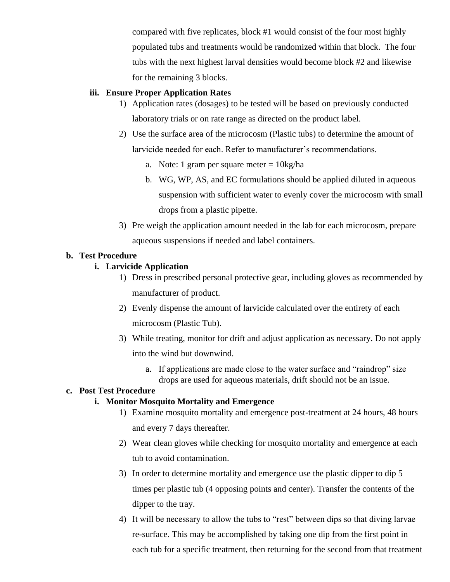compared with five replicates, block #1 would consist of the four most highly populated tubs and treatments would be randomized within that block. The four tubs with the next highest larval densities would become block #2 and likewise for the remaining 3 blocks.

#### **iii. Ensure Proper Application Rates**

- 1) Application rates (dosages) to be tested will be based on previously conducted laboratory trials or on rate range as directed on the product label.
- 2) Use the surface area of the microcosm (Plastic tubs) to determine the amount of larvicide needed for each. Refer to manufacturer's recommendations.
	- a. Note: 1 gram per square meter  $= 10 \text{kg/ha}$
	- b. WG, WP, AS, and EC formulations should be applied diluted in aqueous suspension with sufficient water to evenly cover the microcosm with small drops from a plastic pipette.
- 3) Pre weigh the application amount needed in the lab for each microcosm, prepare aqueous suspensions if needed and label containers.

#### **b. Test Procedure**

#### **i. Larvicide Application**

- 1) Dress in prescribed personal protective gear, including gloves as recommended by manufacturer of product.
- 2) Evenly dispense the amount of larvicide calculated over the entirety of each microcosm (Plastic Tub).
- 3) While treating, monitor for drift and adjust application as necessary. Do not apply into the wind but downwind.
	- a. If applications are made close to the water surface and "raindrop" size drops are used for aqueous materials, drift should not be an issue.

#### **c. Post Test Procedure**

# **i. Monitor Mosquito Mortality and Emergence**

- 1) Examine mosquito mortality and emergence post-treatment at 24 hours, 48 hours and every 7 days thereafter.
- 2) Wear clean gloves while checking for mosquito mortality and emergence at each tub to avoid contamination.
- 3) In order to determine mortality and emergence use the plastic dipper to dip 5 times per plastic tub (4 opposing points and center). Transfer the contents of the dipper to the tray.
- 4) It will be necessary to allow the tubs to "rest" between dips so that diving larvae re-surface. This may be accomplished by taking one dip from the first point in each tub for a specific treatment, then returning for the second from that treatment